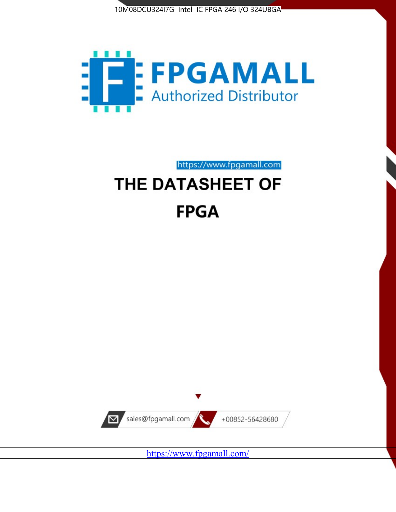



https://www.fpgamall.com THE DATASHEET OF

# **FPGA**



<https://www.fpgamall.com/>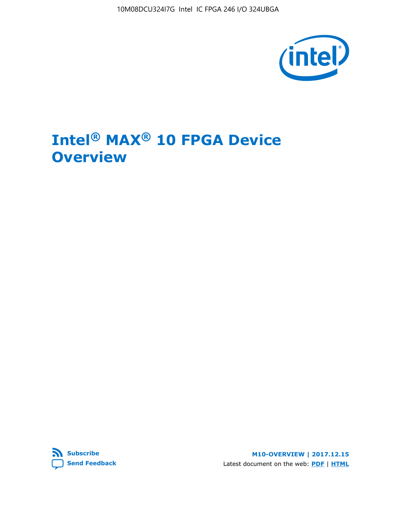10M08DCU324I7G Intel IC FPGA 246 I/O 324UBGA



# **Intel® MAX® 10 FPGA Device Overview**



**M10-OVERVIEW | 2017.12.15** Latest document on the web: **[PDF](https://www.altera.com/en_US/pdfs/literature/hb/max-10/m10_overview.pdf)** | **[HTML](https://www.altera.com/documentation/myt1396938463674.html)**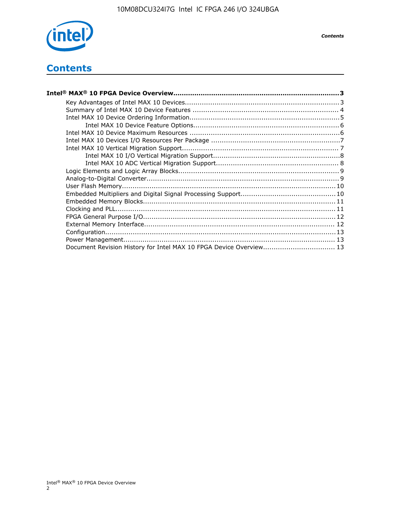

*Contents*

# **Contents**

| Intel® MAX® 10 FPGA Device Overview………………………………………………………………………………………3 |  |
|-----------------------------------------------------------------------|--|
|                                                                       |  |
|                                                                       |  |
|                                                                       |  |
|                                                                       |  |
|                                                                       |  |
|                                                                       |  |
|                                                                       |  |
|                                                                       |  |
|                                                                       |  |
|                                                                       |  |
|                                                                       |  |
|                                                                       |  |
|                                                                       |  |
|                                                                       |  |
|                                                                       |  |
|                                                                       |  |
|                                                                       |  |
|                                                                       |  |
|                                                                       |  |
| Document Revision History for Intel MAX 10 FPGA Device Overview 13    |  |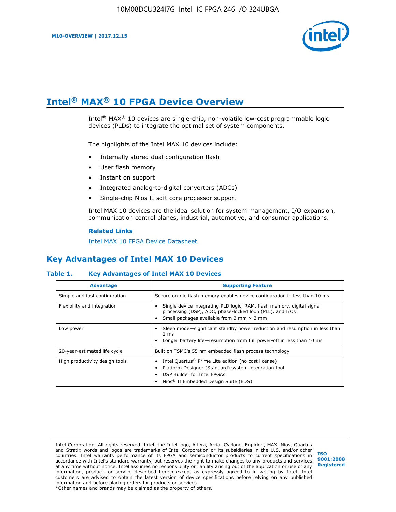

# **Intel® MAX® 10 FPGA Device Overview**

Intel<sup>®</sup> MAX<sup>®</sup> 10 devices are single-chip, non-volatile low-cost programmable logic devices (PLDs) to integrate the optimal set of system components.

The highlights of the Intel MAX 10 devices include:

- Internally stored dual configuration flash
- User flash memory
- Instant on support
- Integrated analog-to-digital converters (ADCs)
- Single-chip Nios II soft core processor support

Intel MAX 10 devices are the ideal solution for system management, I/O expansion, communication control planes, industrial, automotive, and consumer applications.

#### **Related Links**

[Intel MAX 10 FPGA Device Datasheet](https://www.altera.com/documentation/mcn1397700832153.html#mcn1397643748870)

# **Key Advantages of Intel MAX 10 Devices**

## **Table 1. Key Advantages of Intel MAX 10 Devices**

| <b>Advantage</b>               | <b>Supporting Feature</b>                                                                                                                                                                                  |  |  |  |
|--------------------------------|------------------------------------------------------------------------------------------------------------------------------------------------------------------------------------------------------------|--|--|--|
| Simple and fast configuration  | Secure on-die flash memory enables device configuration in less than 10 ms                                                                                                                                 |  |  |  |
| Flexibility and integration    | Single device integrating PLD logic, RAM, flash memory, digital signal<br>processing (DSP), ADC, phase-locked loop (PLL), and I/Os<br>Small packages available from 3 mm $\times$ 3 mm                     |  |  |  |
| Low power                      | Sleep mode—significant standby power reduction and resumption in less than<br>$1 \text{ ms}$<br>Longer battery life-resumption from full power-off in less than 10 ms                                      |  |  |  |
| 20-year-estimated life cycle   | Built on TSMC's 55 nm embedded flash process technology                                                                                                                                                    |  |  |  |
| High productivity design tools | Intel Quartus <sup>®</sup> Prime Lite edition (no cost license)<br>Platform Designer (Standard) system integration tool<br>DSP Builder for Intel FPGAs<br>Nios <sup>®</sup> II Embedded Design Suite (EDS) |  |  |  |

Intel Corporation. All rights reserved. Intel, the Intel logo, Altera, Arria, Cyclone, Enpirion, MAX, Nios, Quartus and Stratix words and logos are trademarks of Intel Corporation or its subsidiaries in the U.S. and/or other countries. Intel warrants performance of its FPGA and semiconductor products to current specifications in accordance with Intel's standard warranty, but reserves the right to make changes to any products and services at any time without notice. Intel assumes no responsibility or liability arising out of the application or use of any information, product, or service described herein except as expressly agreed to in writing by Intel. Intel customers are advised to obtain the latest version of device specifications before relying on any published information and before placing orders for products or services. \*Other names and brands may be claimed as the property of others.

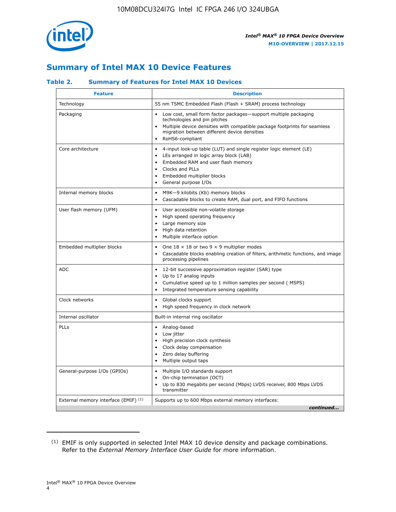

# **Summary of Intel MAX 10 Device Features**

## **Table 2. Summary of Features for Intel MAX 10 Devices**

| <b>Feature</b>                       | <b>Description</b>                                                                                                                                                                                                                                                                                         |
|--------------------------------------|------------------------------------------------------------------------------------------------------------------------------------------------------------------------------------------------------------------------------------------------------------------------------------------------------------|
| Technology                           | 55 nm TSMC Embedded Flash (Flash + SRAM) process technology                                                                                                                                                                                                                                                |
| Packaging                            | Low cost, small form factor packages-support multiple packaging<br>technologies and pin pitches<br>Multiple device densities with compatible package footprints for seamless<br>migration between different device densities<br>RoHS6-compliant                                                            |
| Core architecture                    | 4-input look-up table (LUT) and single register logic element (LE)<br>$\bullet$<br>LEs arranged in logic array block (LAB)<br>$\bullet$<br>Embedded RAM and user flash memory<br>$\bullet$<br>Clocks and PLLs<br>$\bullet$<br>Embedded multiplier blocks<br>$\bullet$<br>General purpose I/Os<br>$\bullet$ |
| Internal memory blocks               | M9K-9 kilobits (Kb) memory blocks<br>$\bullet$<br>Cascadable blocks to create RAM, dual port, and FIFO functions<br>$\bullet$                                                                                                                                                                              |
| User flash memory (UFM)              | User accessible non-volatile storage<br>$\bullet$<br>High speed operating frequency<br>$\bullet$<br>Large memory size<br>High data retention<br>$\bullet$<br>Multiple interface option                                                                                                                     |
| Embedded multiplier blocks           | One $18 \times 18$ or two 9 $\times$ 9 multiplier modes<br>$\bullet$<br>Cascadable blocks enabling creation of filters, arithmetic functions, and image<br>processing pipelines                                                                                                                            |
| <b>ADC</b>                           | 12-bit successive approximation register (SAR) type<br>$\bullet$<br>Up to 17 analog inputs<br>$\bullet$<br>Cumulative speed up to 1 million samples per second (MSPS)<br>Integrated temperature sensing capability<br>$\bullet$                                                                            |
| Clock networks                       | Global clocks support<br>$\bullet$<br>High speed frequency in clock network                                                                                                                                                                                                                                |
| Internal oscillator                  | Built-in internal ring oscillator                                                                                                                                                                                                                                                                          |
| PLLs                                 | • Analog-based<br>Low jitter<br>$\bullet$<br>High precision clock synthesis<br>$\bullet$<br>Clock delay compensation<br>$\bullet$<br>Zero delay buffering<br>$\bullet$<br>Multiple output taps<br>$\bullet$                                                                                                |
| General-purpose I/Os (GPIOs)         | • Multiple I/O standards support<br>On-chip termination (OCT)<br>$\bullet$<br>Up to 830 megabits per second (Mbps) LVDS receiver, 800 Mbps LVDS<br>transmitter                                                                                                                                             |
| External memory interface (EMIF) (1) | Supports up to 600 Mbps external memory interfaces:<br>continued                                                                                                                                                                                                                                           |

<sup>(1)</sup> EMIF is only supported in selected Intel MAX 10 device density and package combinations. Refer to the *External Memory Interface User Guide* for more information.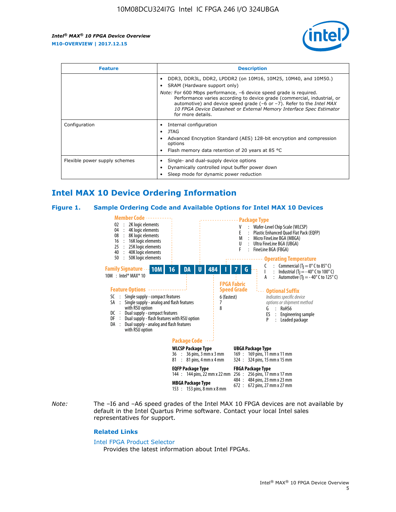

| <b>Feature</b>                | <b>Description</b>                                                                                                                                                                                                                                                                                                                                                                                                                               |  |  |  |
|-------------------------------|--------------------------------------------------------------------------------------------------------------------------------------------------------------------------------------------------------------------------------------------------------------------------------------------------------------------------------------------------------------------------------------------------------------------------------------------------|--|--|--|
|                               | DDR3, DDR3L, DDR2, LPDDR2 (on 10M16, 10M25, 10M40, and 10M50.)<br>SRAM (Hardware support only)<br><i>Note:</i> For 600 Mbps performance, -6 device speed grade is required.<br>Performance varies according to device grade (commercial, industrial, or<br>automotive) and device speed grade $(-6 \text{ or } -7)$ . Refer to the <i>Intel MAX</i><br>10 FPGA Device Datasheet or External Memory Interface Spec Estimator<br>for more details. |  |  |  |
| Configuration                 | Internal configuration<br>JTAG<br>٠<br>Advanced Encryption Standard (AES) 128-bit encryption and compression<br>options<br>Flash memory data retention of 20 years at 85 $^{\circ}$ C                                                                                                                                                                                                                                                            |  |  |  |
| Flexible power supply schemes | Single- and dual-supply device options<br>Dynamically controlled input buffer power down<br>Sleep mode for dynamic power reduction                                                                                                                                                                                                                                                                                                               |  |  |  |

# **Intel MAX 10 Device Ordering Information**

#### **Figure 1. Sample Ordering Code and Available Options for Intel MAX 10 Devices**



*Note:* The –I6 and –A6 speed grades of the Intel MAX 10 FPGA devices are not available by default in the Intel Quartus Prime software. Contact your local Intel sales representatives for support.

#### **Related Links**

#### [Intel FPGA Product Selector](http://www.altera.com/products/selector/psg-selector.html)

Provides the latest information about Intel FPGAs.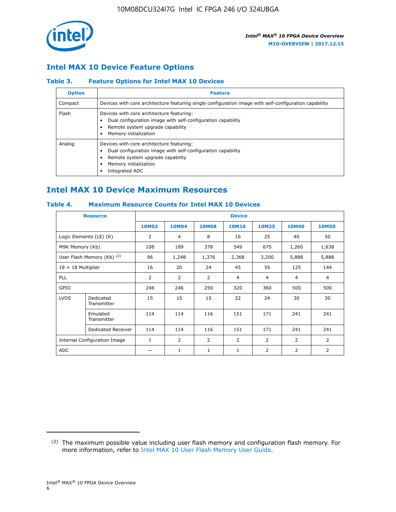

## **Intel MAX 10 Device Feature Options**

## **Table 3. Feature Options for Intel MAX 10 Devices**

| <b>Option</b> | <b>Feature</b>                                                                                                                                                                          |
|---------------|-----------------------------------------------------------------------------------------------------------------------------------------------------------------------------------------|
| Compact       | Devices with core architecture featuring single configuration image with self-configuration capability                                                                                  |
| Flash         | Devices with core architecture featuring:<br>Dual configuration image with self-configuration capability<br>Remote system upgrade capability<br>Memory initialization                   |
| Analog        | Devices with core architecture featuring:<br>Dual configuration image with self-configuration capability<br>Remote system upgrade capability<br>Memory initialization<br>Integrated ADC |

# **Intel MAX 10 Device Maximum Resources**

## **Table 4. Maximum Resource Counts for Intel MAX 10 Devices**

| <b>Resource</b>              |                            | <b>Device</b> |                |                |                |                |                |                |
|------------------------------|----------------------------|---------------|----------------|----------------|----------------|----------------|----------------|----------------|
|                              |                            | <b>10M02</b>  | 10M04          | <b>10M08</b>   | <b>10M16</b>   | <b>10M25</b>   | <b>10M40</b>   | <b>10M50</b>   |
|                              | Logic Elements (LE) (K)    | 2             | 4              | 8              | 16             | 25             | 40             | 50             |
| M9K Memory (Kb)              |                            | 108           | 189            | 378            | 549            | 675            | 1,260          | 1,638          |
|                              | User Flash Memory (Kb) (2) | 96            | 1,248          | 1,376          | 2,368          | 3,200          | 5,888          | 5,888          |
| $18 \times 18$ Multiplier    |                            | 16            | 20             | 24             | 45             | 55             | 125            | 144            |
| <b>PLL</b>                   |                            | 2             | $\overline{2}$ | $\overline{2}$ | 4              | $\overline{4}$ | 4              | $\overline{4}$ |
| GPIO                         |                            | 246           | 246            | 250            | 320            | 360            | 500            | 500            |
| <b>LVDS</b>                  | Dedicated<br>Transmitter   | 15            | 15             | 15             | 22             | 24             | 30             | 30             |
|                              | Emulated<br>Transmitter    | 114           | 114            | 116            | 151            | 171            | 241            | 241            |
|                              | Dedicated Receiver         | 114           | 114            | 116            | 151            | 171            | 241            | 241            |
| Internal Configuration Image |                            | $\mathbf{1}$  | $\overline{2}$ | $\overline{2}$ | $\overline{2}$ | 2              | $\overline{2}$ | $\overline{2}$ |
| <b>ADC</b>                   |                            |               | 1              | $\mathbf{1}$   | $\mathbf{1}$   | 2              | 2              | 2              |

<sup>(2)</sup> The maximum possible value including user flash memory and configuration flash memory. For more information, refer to [Intel MAX 10 User Flash Memory User Guide](https://www.altera.com/documentation/vgo1395753117436.html#vgo1395811844282).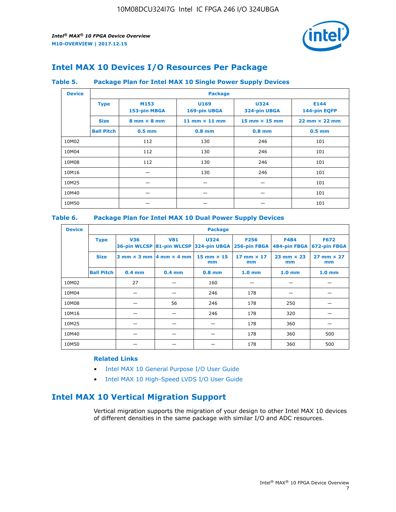

# **Intel MAX 10 Devices I/O Resources Per Package**

## **Table 5. Package Plan for Intel MAX 10 Single Power Supply Devices**

| <b>Device</b> |                   | <b>Package</b>                     |                      |                             |                                      |  |  |  |  |
|---------------|-------------------|------------------------------------|----------------------|-----------------------------|--------------------------------------|--|--|--|--|
|               | <b>Type</b>       | M153<br>153-pin MBGA               | U169<br>169-pin UBGA | <b>U324</b><br>324-pin UBGA | E144<br>144-pin EQFP                 |  |  |  |  |
|               | <b>Size</b>       | $8 \text{ mm} \times 8 \text{ mm}$ | 11 mm $\times$ 11 mm | $15$ mm $\times$ 15 mm      | $22 \text{ mm} \times 22 \text{ mm}$ |  |  |  |  |
|               | <b>Ball Pitch</b> | $0.5$ mm                           | $0.8$ mm             | $0.8$ mm                    | $0.5$ mm                             |  |  |  |  |
| 10M02         |                   | 112                                | 130                  | 246                         | 101                                  |  |  |  |  |
| 10M04         |                   | 112                                | 130                  | 246                         | 101                                  |  |  |  |  |
| 10M08         |                   | 112                                | 130                  | 246                         | 101                                  |  |  |  |  |
| 10M16         |                   |                                    | 130                  | 246                         | 101                                  |  |  |  |  |
| 10M25         |                   |                                    |                      |                             | 101                                  |  |  |  |  |
| 10M40         |                   |                                    |                      |                             | 101                                  |  |  |  |  |
| 10M50         |                   |                                    |                      |                             | 101                                  |  |  |  |  |

## **Table 6. Package Plan for Intel MAX 10 Dual Power Supply Devices**

| <b>Device</b> |                   | <b>Package</b> |                                            |                                                                    |                         |                             |                             |  |  |
|---------------|-------------------|----------------|--------------------------------------------|--------------------------------------------------------------------|-------------------------|-----------------------------|-----------------------------|--|--|
|               | <b>Type</b>       | <b>V36</b>     | <b>V81</b>                                 | <b>U324</b><br>36-pin WLCSP 81-pin WLCSP 324-pin UBGA 256-pin FBGA | <b>F256</b>             | <b>F484</b><br>484-pin FBGA | <b>F672</b><br>672-pin FBGA |  |  |
|               | <b>Size</b>       |                | $3$ mm $\times$ 3 mm $ 4$ mm $\times$ 4 mm | $15$ mm $\times$ 15<br>mm                                          | 17 mm $\times$ 17<br>mm | $23$ mm $\times$ 23<br>mm   | $27$ mm $\times$ 27<br>mm   |  |  |
|               | <b>Ball Pitch</b> | $0.4$ mm       | $0.4$ mm                                   | $0.8$ mm                                                           | 1.0 <sub>mm</sub>       | 1.0 <sub>mm</sub>           | 1.0 <sub>mm</sub>           |  |  |
| 10M02         |                   | 27             |                                            | 160                                                                |                         |                             |                             |  |  |
| 10M04         |                   |                |                                            | 246                                                                | 178                     |                             |                             |  |  |
| 10M08         |                   |                | 56                                         | 246                                                                | 178                     | 250                         |                             |  |  |
| 10M16         |                   |                |                                            | 246                                                                | 178                     | 320                         |                             |  |  |
| 10M25         |                   |                |                                            |                                                                    | 178                     | 360                         |                             |  |  |
| 10M40         |                   |                |                                            |                                                                    | 178                     | 360                         | 500                         |  |  |
| 10M50         |                   |                |                                            |                                                                    | 178                     | 360                         | 500                         |  |  |

## **Related Links**

- [Intel MAX 10 General Purpose I/O User Guide](https://www.altera.com/documentation/sam1393999966669.html#sam1394000084476)
- [Intel MAX 10 High-Speed LVDS I/O User Guide](https://www.altera.com/documentation/sam1394433606063.html#sam1394433911642)

# **Intel MAX 10 Vertical Migration Support**

Vertical migration supports the migration of your design to other Intel MAX 10 devices of different densities in the same package with similar I/O and ADC resources.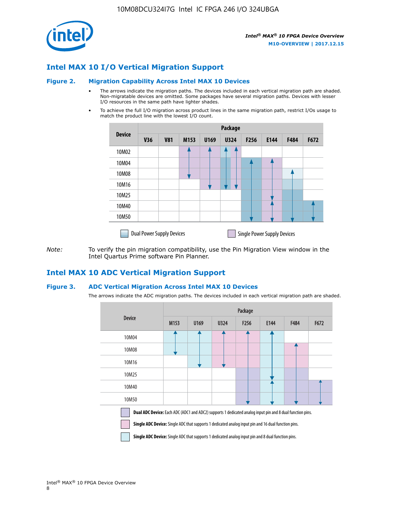

## **Intel MAX 10 I/O Vertical Migration Support**

#### **Figure 2. Migration Capability Across Intel MAX 10 Devices**

- The arrows indicate the migration paths. The devices included in each vertical migration path are shaded. Non-migratable devices are omitted. Some packages have several migration paths. Devices with lesser I/O resources in the same path have lighter shades.
- To achieve the full I/O migration across product lines in the same migration path, restrict I/Os usage to match the product line with the lowest I/O count.

|               | Package                          |            |      |      |             |      |                                    |      |      |  |
|---------------|----------------------------------|------------|------|------|-------------|------|------------------------------------|------|------|--|
| <b>Device</b> | <b>V36</b>                       | <b>V81</b> | M153 | U169 | <b>U324</b> | F256 | E144                               | F484 | F672 |  |
| 10M02         |                                  |            |      |      | 7           |      |                                    |      |      |  |
| 10M04         |                                  |            |      |      |             |      |                                    |      |      |  |
| 10M08         |                                  |            |      |      |             |      |                                    |      |      |  |
| 10M16         |                                  |            |      |      |             |      |                                    |      |      |  |
| 10M25         |                                  |            |      |      |             |      |                                    |      |      |  |
| 10M40         |                                  |            |      |      |             |      |                                    |      |      |  |
| 10M50         |                                  |            |      |      |             |      |                                    |      |      |  |
|               | <b>Dual Power Supply Devices</b> |            |      |      |             |      | <b>Single Power Supply Devices</b> |      |      |  |

*Note:* To verify the pin migration compatibility, use the Pin Migration View window in the Intel Quartus Prime software Pin Planner.

## **Intel MAX 10 ADC Vertical Migration Support**

### **Figure 3. ADC Vertical Migration Across Intel MAX 10 Devices**

The arrows indicate the ADC migration paths. The devices included in each vertical migration path are shaded.

|                                                                                                                                                                                                                         | Package |      |      |                  |      |      |      |  |  |
|-------------------------------------------------------------------------------------------------------------------------------------------------------------------------------------------------------------------------|---------|------|------|------------------|------|------|------|--|--|
| <b>Device</b>                                                                                                                                                                                                           | M153    | U169 | U324 | F <sub>256</sub> | E144 | F484 | F672 |  |  |
| 10M04                                                                                                                                                                                                                   |         |      |      |                  |      |      |      |  |  |
| 10M08                                                                                                                                                                                                                   |         |      |      |                  |      |      |      |  |  |
| 10M16                                                                                                                                                                                                                   |         |      |      |                  |      |      |      |  |  |
| 10M25                                                                                                                                                                                                                   |         |      |      |                  |      |      |      |  |  |
| 10M40                                                                                                                                                                                                                   |         |      |      |                  |      |      |      |  |  |
| 10M50                                                                                                                                                                                                                   |         |      |      |                  |      |      |      |  |  |
| Dual ADC Device: Each ADC (ADC1 and ADC2) supports 1 dedicated analog input pin and 8 dual function pins.<br><b>Single ADC Device:</b> Single ADC that supports 1 dedicated analog input pin and 16 dual function pins. |         |      |      |                  |      |      |      |  |  |

**Single ADC Device:** Single ADC that supports 1 dedicated analog input pin and 8 dual function pins.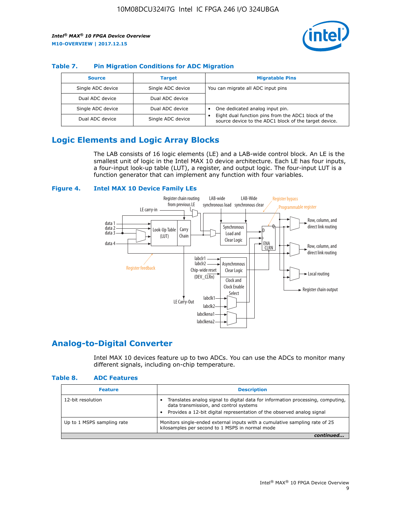

## **Table 7. Pin Migration Conditions for ADC Migration**

| <b>Source</b>     | <b>Target</b>     | <b>Migratable Pins</b>                                                                                            |
|-------------------|-------------------|-------------------------------------------------------------------------------------------------------------------|
| Single ADC device | Single ADC device | You can migrate all ADC input pins                                                                                |
| Dual ADC device   | Dual ADC device   |                                                                                                                   |
| Single ADC device | Dual ADC device   | One dedicated analog input pin.                                                                                   |
| Dual ADC device   | Single ADC device | Eight dual function pins from the ADC1 block of the<br>٠<br>source device to the ADC1 block of the target device. |

# **Logic Elements and Logic Array Blocks**

The LAB consists of 16 logic elements (LE) and a LAB-wide control block. An LE is the smallest unit of logic in the Intel MAX 10 device architecture. Each LE has four inputs, a four-input look-up table (LUT), a register, and output logic. The four-input LUT is a function generator that can implement any function with four variables.

### **Figure 4. Intel MAX 10 Device Family LEs**



## **Analog-to-Digital Converter**

Intel MAX 10 devices feature up to two ADCs. You can use the ADCs to monitor many different signals, including on-chip temperature.

#### **Table 8. ADC Features**

| <b>Feature</b>             | <b>Description</b>                                                                                                                                                                                  |
|----------------------------|-----------------------------------------------------------------------------------------------------------------------------------------------------------------------------------------------------|
| 12-bit resolution          | Translates analog signal to digital data for information processing, computing,<br>data transmission, and control systems<br>Provides a 12-bit digital representation of the observed analog signal |
| Up to 1 MSPS sampling rate | Monitors single-ended external inputs with a cumulative sampling rate of 25<br>kilosamples per second to 1 MSPS in normal mode                                                                      |
|                            |                                                                                                                                                                                                     |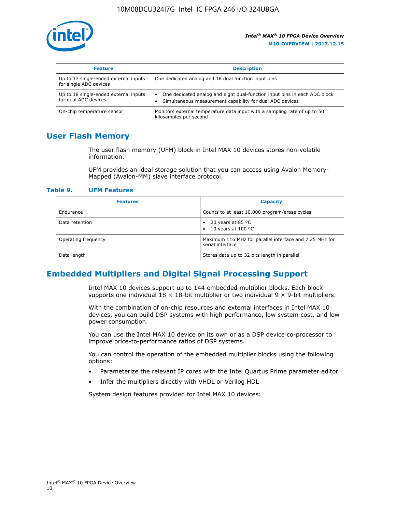

| <b>Feature</b>                                                  | <b>Description</b>                                                                                                                                 |
|-----------------------------------------------------------------|----------------------------------------------------------------------------------------------------------------------------------------------------|
| Up to 17 single-ended external inputs<br>for single ADC devices | One dedicated analog and 16 dual function input pins                                                                                               |
| Up to 18 single-ended external inputs<br>for dual ADC devices   | One dedicated analog and eight dual-function input pins in each ADC block<br>$\bullet$<br>Simultaneous measurement capability for dual ADC devices |
| On-chip temperature sensor                                      | Monitors external temperature data input with a sampling rate of up to 50<br>kilosamples per second                                                |

## **User Flash Memory**

The user flash memory (UFM) block in Intel MAX 10 devices stores non-volatile information.

UFM provides an ideal storage solution that you can access using Avalon Memory-Mapped (Avalon-MM) slave interface protocol.

#### **Table 9. UFM Features**

| <b>Features</b>     | <b>Capacity</b>                                                             |
|---------------------|-----------------------------------------------------------------------------|
| Endurance           | Counts to at least 10,000 program/erase cycles                              |
| Data retention      | 20 years at 85 °C<br>٠<br>10 years at 100 °C<br>$\bullet$                   |
| Operating frequency | Maximum 116 MHz for parallel interface and 7.25 MHz for<br>serial interface |
| Data length         | Stores data up to 32 bits length in parallel                                |

## **Embedded Multipliers and Digital Signal Processing Support**

Intel MAX 10 devices support up to 144 embedded multiplier blocks. Each block supports one individual  $18 \times 18$ -bit multiplier or two individual  $9 \times 9$ -bit multipliers.

With the combination of on-chip resources and external interfaces in Intel MAX 10 devices, you can build DSP systems with high performance, low system cost, and low power consumption.

You can use the Intel MAX 10 device on its own or as a DSP device co-processor to improve price-to-performance ratios of DSP systems.

You can control the operation of the embedded multiplier blocks using the following options:

- Parameterize the relevant IP cores with the Intel Quartus Prime parameter editor
- Infer the multipliers directly with VHDL or Verilog HDL

System design features provided for Intel MAX 10 devices: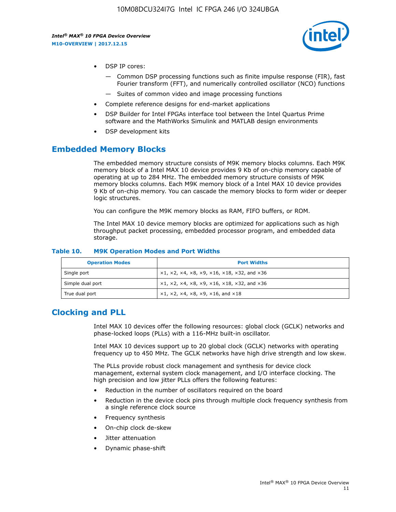

- DSP IP cores:
	- Common DSP processing functions such as finite impulse response (FIR), fast Fourier transform (FFT), and numerically controlled oscillator (NCO) functions
	- Suites of common video and image processing functions
- Complete reference designs for end-market applications
- DSP Builder for Intel FPGAs interface tool between the Intel Quartus Prime software and the MathWorks Simulink and MATLAB design environments
- DSP development kits

## **Embedded Memory Blocks**

The embedded memory structure consists of M9K memory blocks columns. Each M9K memory block of a Intel MAX 10 device provides 9 Kb of on-chip memory capable of operating at up to 284 MHz. The embedded memory structure consists of M9K memory blocks columns. Each M9K memory block of a Intel MAX 10 device provides 9 Kb of on-chip memory. You can cascade the memory blocks to form wider or deeper logic structures.

You can configure the M9K memory blocks as RAM, FIFO buffers, or ROM.

The Intel MAX 10 device memory blocks are optimized for applications such as high throughput packet processing, embedded processor program, and embedded data storage.

| <b>Operation Modes</b> | <b>Port Widths</b>                                                            |
|------------------------|-------------------------------------------------------------------------------|
| Single port            | $x1, x2, x4, x8, x9, x16, x18, x32, and x36$                                  |
| Simple dual port       | $x1, x2, x4, x8, x9, x16, x18, x32, and x36$                                  |
| True dual port         | $\times1, \times2, \times4, \times8, \times9, \times16, \text{and } \times18$ |

#### **Table 10. M9K Operation Modes and Port Widths**

# **Clocking and PLL**

Intel MAX 10 devices offer the following resources: global clock (GCLK) networks and phase-locked loops (PLLs) with a 116-MHz built-in oscillator.

Intel MAX 10 devices support up to 20 global clock (GCLK) networks with operating frequency up to 450 MHz. The GCLK networks have high drive strength and low skew.

The PLLs provide robust clock management and synthesis for device clock management, external system clock management, and I/O interface clocking. The high precision and low jitter PLLs offers the following features:

- Reduction in the number of oscillators required on the board
- Reduction in the device clock pins through multiple clock frequency synthesis from a single reference clock source
- Frequency synthesis
- On-chip clock de-skew
- Jitter attenuation
- Dynamic phase-shift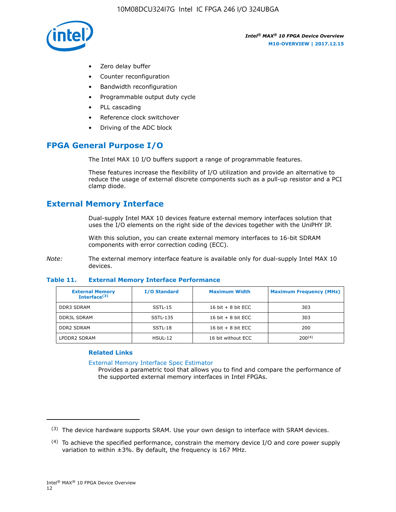

- Zero delay buffer
- Counter reconfiguration
- Bandwidth reconfiguration
- Programmable output duty cycle
- PLL cascading
- Reference clock switchover
- Driving of the ADC block

# **FPGA General Purpose I/O**

The Intel MAX 10 I/O buffers support a range of programmable features.

These features increase the flexibility of I/O utilization and provide an alternative to reduce the usage of external discrete components such as a pull-up resistor and a PCI clamp diode.

# **External Memory Interface**

Dual-supply Intel MAX 10 devices feature external memory interfaces solution that uses the I/O elements on the right side of the devices together with the UniPHY IP.

With this solution, you can create external memory interfaces to 16-bit SDRAM components with error correction coding (ECC).

*Note:* The external memory interface feature is available only for dual-supply Intel MAX 10 devices.

### **Table 11. External Memory Interface Performance**

| <b>External Memory</b><br>Interface <sup>(3)</sup> | <b>I/O Standard</b> | <b>Maximum Width</b> | <b>Maximum Frequency (MHz)</b> |
|----------------------------------------------------|---------------------|----------------------|--------------------------------|
| <b>DDR3 SDRAM</b>                                  | SSTL-15             | 16 bit $+8$ bit ECC  | 303                            |
| <b>DDR3L SDRAM</b>                                 | SSTL-135            | 16 bit $+8$ bit ECC  | 303                            |
| <b>DDR2 SDRAM</b>                                  | SSTL-18             | 16 bit $+8$ bit ECC  | 200                            |
| LPDDR2 SDRAM                                       | $H SUL-12$          | 16 bit without ECC   | 200(4)                         |

## **Related Links**

[External Memory Interface Spec Estimator](http://www.altera.com/technology/memory/estimator/mem-emif-index.html)

Provides a parametric tool that allows you to find and compare the performance of the supported external memory interfaces in Intel FPGAs.

 $(3)$  The device hardware supports SRAM. Use your own design to interface with SRAM devices.

 $(4)$  To achieve the specified performance, constrain the memory device I/O and core power supply variation to within ±3%. By default, the frequency is 167 MHz.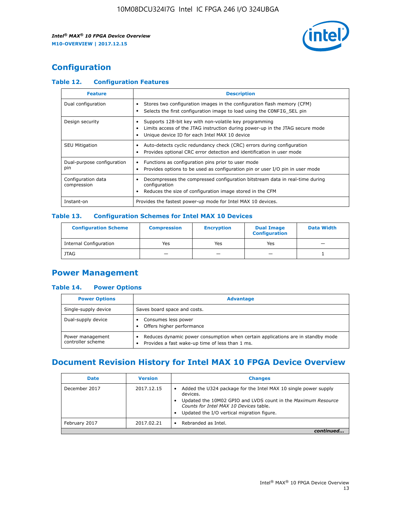

# **Configuration**

## **Table 12. Configuration Features**

| <b>Feature</b>                    | <b>Description</b>                                                                                                                                                                       |
|-----------------------------------|------------------------------------------------------------------------------------------------------------------------------------------------------------------------------------------|
| Dual configuration                | Stores two configuration images in the configuration flash memory (CFM)<br>Selects the first configuration image to load using the CONFIG SEL pin                                        |
| Design security                   | Supports 128-bit key with non-volatile key programming<br>Limits access of the JTAG instruction during power-up in the JTAG secure mode<br>Unique device ID for each Intel MAX 10 device |
| <b>SEU Mitigation</b>             | Auto-detects cyclic redundancy check (CRC) errors during configuration<br>Provides optional CRC error detection and identification in user mode                                          |
| Dual-purpose configuration<br>pin | Functions as configuration pins prior to user mode<br>$\bullet$<br>Provides options to be used as configuration pin or user I/O pin in user mode                                         |
| Configuration data<br>compression | Decompresses the compressed configuration bitstream data in real-time during<br>configuration<br>Reduces the size of configuration image stored in the CFM                               |
| Instant-on                        | Provides the fastest power-up mode for Intel MAX 10 devices.                                                                                                                             |

#### **Table 13. Configuration Schemes for Intel MAX 10 Devices**

| <b>Configuration Scheme</b>   | <b>Compression</b>       | <b>Encryption</b> | <b>Dual Image</b><br><b>Configuration</b> | <b>Data Width</b> |
|-------------------------------|--------------------------|-------------------|-------------------------------------------|-------------------|
| <b>Internal Configuration</b> | Yes                      | Yes               | Yes                                       |                   |
| <b>JTAG</b>                   | $\overline{\phantom{a}}$ |                   | -                                         |                   |

## **Power Management**

## **Table 14. Power Options**

| <b>Power Options</b>                  | <b>Advantage</b>                                                                                                                        |  |
|---------------------------------------|-----------------------------------------------------------------------------------------------------------------------------------------|--|
| Single-supply device                  | Saves board space and costs.                                                                                                            |  |
| Dual-supply device                    | Consumes less power<br>Offers higher performance<br>$\bullet$                                                                           |  |
| Power management<br>controller scheme | Reduces dynamic power consumption when certain applications are in standby mode<br>Provides a fast wake-up time of less than 1 ms.<br>٠ |  |

# **Document Revision History for Intel MAX 10 FPGA Device Overview**

| <b>Date</b>   | <b>Version</b> | <b>Changes</b>                                                                                                                                                                                                                       |
|---------------|----------------|--------------------------------------------------------------------------------------------------------------------------------------------------------------------------------------------------------------------------------------|
| December 2017 | 2017.12.15     | Added the U324 package for the Intel MAX 10 single power supply<br>devices.<br>Updated the 10M02 GPIO and LVDS count in the Maximum Resource<br>Counts for Intel MAX 10 Devices table.<br>Updated the I/O vertical migration figure. |
| February 2017 | 2017.02.21     | Rebranded as Intel.                                                                                                                                                                                                                  |
|               |                |                                                                                                                                                                                                                                      |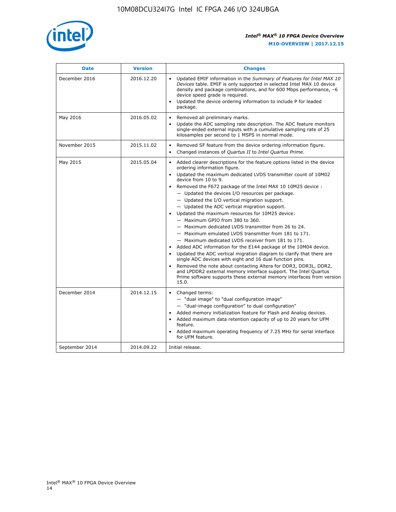

| <b>Date</b>    | <b>Version</b> | <b>Changes</b>                                                                                                                                                                                                                                                                                                                                                                                                                                                                                                                                                                                                                                                                                                                                                                                                                                                                                                                                                                                                                                                                                                                                                                         |
|----------------|----------------|----------------------------------------------------------------------------------------------------------------------------------------------------------------------------------------------------------------------------------------------------------------------------------------------------------------------------------------------------------------------------------------------------------------------------------------------------------------------------------------------------------------------------------------------------------------------------------------------------------------------------------------------------------------------------------------------------------------------------------------------------------------------------------------------------------------------------------------------------------------------------------------------------------------------------------------------------------------------------------------------------------------------------------------------------------------------------------------------------------------------------------------------------------------------------------------|
| December 2016  | 2016.12.20     | • Updated EMIF information in the Summary of Features for Intel MAX 10<br>Devices table. EMIF is only supported in selected Intel MAX 10 device<br>density and package combinations, and for 600 Mbps performance, -6<br>device speed grade is required.<br>Updated the device ordering information to include P for leaded<br>$\bullet$<br>package.                                                                                                                                                                                                                                                                                                                                                                                                                                                                                                                                                                                                                                                                                                                                                                                                                                   |
| May 2016       | 2016.05.02     | Removed all preliminary marks.<br>Update the ADC sampling rate description. The ADC feature monitors<br>$\bullet$<br>single-ended external inputs with a cumulative sampling rate of 25<br>kilosamples per second to 1 MSPS in normal mode.                                                                                                                                                                                                                                                                                                                                                                                                                                                                                                                                                                                                                                                                                                                                                                                                                                                                                                                                            |
| November 2015  | 2015.11.02     | Removed SF feature from the device ordering information figure.<br>$\bullet$<br>Changed instances of Quartus II to Intel Quartus Prime.<br>$\bullet$                                                                                                                                                                                                                                                                                                                                                                                                                                                                                                                                                                                                                                                                                                                                                                                                                                                                                                                                                                                                                                   |
| May 2015       | 2015.05.04     | Added clearer descriptions for the feature options listed in the device<br>$\bullet$<br>ordering information figure.<br>• Updated the maximum dedicated LVDS transmitter count of 10M02<br>device from 10 to 9.<br>• Removed the F672 package of the Intel MAX 10 10M25 device :<br>- Updated the devices I/O resources per package.<br>$-$ Updated the I/O vertical migration support.<br>- Updated the ADC vertical migration support.<br>Updated the maximum resources for 10M25 device:<br>$\bullet$<br>- Maximum GPIO from 380 to 360.<br>- Maximum dedicated LVDS transmitter from 26 to 24.<br>- Maximum emulated LVDS transmitter from 181 to 171.<br>- Maximum dedicated LVDS receiver from 181 to 171.<br>Added ADC information for the E144 package of the 10M04 device.<br>$\bullet$<br>Updated the ADC vertical migration diagram to clarify that there are<br>$\bullet$<br>single ADC devices with eight and 16 dual function pins.<br>Removed the note about contacting Altera for DDR3, DDR3L, DDR2,<br>$\bullet$<br>and LPDDR2 external memory interface support. The Intel Quartus<br>Prime software supports these external memory interfaces from version<br>15.0. |
| December 2014  | 2014.12.15     | • Changed terms:<br>- "dual image" to "dual configuration image"<br>- "dual-image configuration" to dual configuration"<br>• Added memory initialization feature for Flash and Analog devices.<br>• Added maximum data retention capacity of up to 20 years for UFM<br>feature.<br>Added maximum operating frequency of 7.25 MHz for serial interface<br>$\bullet$<br>for UFM feature.                                                                                                                                                                                                                                                                                                                                                                                                                                                                                                                                                                                                                                                                                                                                                                                                 |
| September 2014 | 2014.09.22     | Initial release.                                                                                                                                                                                                                                                                                                                                                                                                                                                                                                                                                                                                                                                                                                                                                                                                                                                                                                                                                                                                                                                                                                                                                                       |